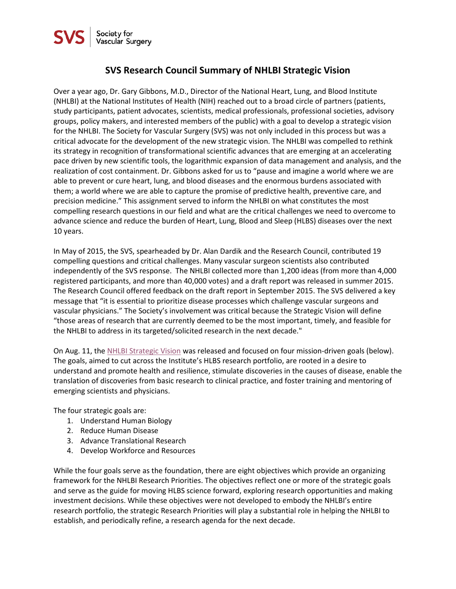## **SVS Research Council Summary of NHLBI Strategic Vision**

Over a year ago, Dr. Gary Gibbons, M.D., Director of the National Heart, Lung, and Blood Institute (NHLBI) at the National Institutes of Health (NIH) reached out to a broad circle of partners (patients, study participants, patient advocates, scientists, medical professionals, professional societies, advisory groups, policy makers, and interested members of the public) with a goal to develop a strategic vision for the NHLBI. The Society for Vascular Surgery (SVS) was not only included in this process but was a critical advocate for the development of the new strategic vision. The NHLBI was compelled to rethink its strategy in recognition of transformational scientific advances that are emerging at an accelerating pace driven by new scientific tools, the logarithmic expansion of data management and analysis, and the realization of cost containment. Dr. Gibbons asked for us to "pause and imagine a world where we are able to prevent or cure heart, lung, and blood diseases and the enormous burdens associated with them; a world where we are able to capture the promise of predictive health, preventive care, and precision medicine." This assignment served to inform the NHLBI on what constitutes the most compelling research questions in our field and what are the critical challenges we need to overcome to advance science and reduce the burden of Heart, Lung, Blood and Sleep (HLBS) diseases over the next 10 years.

In May of 2015, the SVS, spearheaded by Dr. Alan Dardik and the Research Council, contributed 19 compelling questions and critical challenges. Many vascular surgeon scientists also contributed independently of the SVS response. The NHLBI collected more than 1,200 ideas (from more than 4,000 registered participants, and more than 40,000 votes) and a draft report was released in summer 2015. The Research Council offered feedback on the draft report in September 2015. The SVS delivered a key message that "it is essential to prioritize disease processes which challenge vascular surgeons and vascular physicians." The Society's involvement was critical because the Strategic Vision will define "those areas of research that are currently deemed to be the most important, timely, and feasible for the NHLBI to address in its targeted/solicited research in the next decade."

On Aug. 11, the [NHLBI Strategic Vision](http://www.nhlbi.nih.gov/about/documents/strategic-vision) was released and focused on four mission-driven goals (below). The goals, aimed to cut across the Institute's HLBS research portfolio, are rooted in a desire to understand and promote health and resilience, stimulate discoveries in the causes of disease, enable the translation of discoveries from basic research to clinical practice, and foster training and mentoring of emerging scientists and physicians.

The four strategic goals are:

- 1. Understand Human Biology
- 2. Reduce Human Disease
- 3. Advance Translational Research
- 4. Develop Workforce and Resources

While the four goals serve as the foundation, there are eight objectives which provide an organizing framework for the NHLBI Research Priorities. The objectives reflect one or more of the strategic goals and serve as the guide for moving HLBS science forward, exploring research opportunities and making investment decisions. While these objectives were not developed to embody the NHLBI's entire research portfolio, the strategic Research Priorities will play a substantial role in helping the NHLBI to establish, and periodically refine, a research agenda for the next decade.